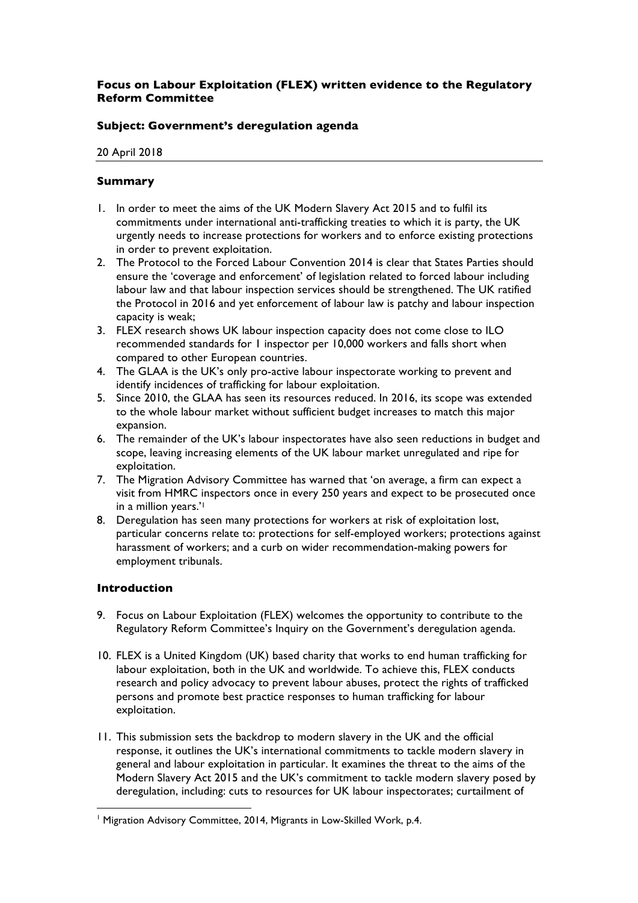# **Focus on Labour Exploitation (FLEX) written evidence to the Regulatory Reform Committee**

## **Subject: Government's deregulation agenda**

20 April 2018

## **Summary**

- 1. In order to meet the aims of the UK Modern Slavery Act 2015 and to fulfil its commitments under international anti-trafficking treaties to which it is party, the UK urgently needs to increase protections for workers and to enforce existing protections in order to prevent exploitation.
- 2. The Protocol to the Forced Labour Convention 2014 is clear that States Parties should ensure the 'coverage and enforcement' of legislation related to forced labour including labour law and that labour inspection services should be strengthened. The UK ratified the Protocol in 2016 and yet enforcement of labour law is patchy and labour inspection capacity is weak;
- 3. FLEX research shows UK labour inspection capacity does not come close to ILO recommended standards for 1 inspector per 10,000 workers and falls short when compared to other European countries.
- 4. The GLAA is the UK's only pro-active labour inspectorate working to prevent and identify incidences of trafficking for labour exploitation.
- 5. Since 2010, the GLAA has seen its resources reduced. In 2016, its scope was extended to the whole labour market without sufficient budget increases to match this major expansion.
- 6. The remainder of the UK's labour inspectorates have also seen reductions in budget and scope, leaving increasing elements of the UK labour market unregulated and ripe for exploitation.
- 7. The Migration Advisory Committee has warned that 'on average, a firm can expect a visit from HMRC inspectors once in every 250 years and expect to be prosecuted once in a million years.'1
- 8. Deregulation has seen many protections for workers at risk of exploitation lost, particular concerns relate to: protections for self-employed workers; protections against harassment of workers; and a curb on wider recommendation-making powers for employment tribunals.

### **Introduction**

- 9. Focus on Labour Exploitation (FLEX) welcomes the opportunity to contribute to the Regulatory Reform Committee's Inquiry on the Government's deregulation agenda.
- 10. FLEX is a United Kingdom (UK) based charity that works to end human trafficking for labour exploitation, both in the UK and worldwide. To achieve this, FLEX conducts research and policy advocacy to prevent labour abuses, protect the rights of trafficked persons and promote best practice responses to human trafficking for labour exploitation.
- 11. This submission sets the backdrop to modern slavery in the UK and the official response, it outlines the UK's international commitments to tackle modern slavery in general and labour exploitation in particular. It examines the threat to the aims of the Modern Slavery Act 2015 and the UK's commitment to tackle modern slavery posed by deregulation, including: cuts to resources for UK labour inspectorates; curtailment of

<sup>&</sup>lt;sup>1</sup> Migration Advisory Committee, 2014, Migrants in Low-Skilled Work, p.4.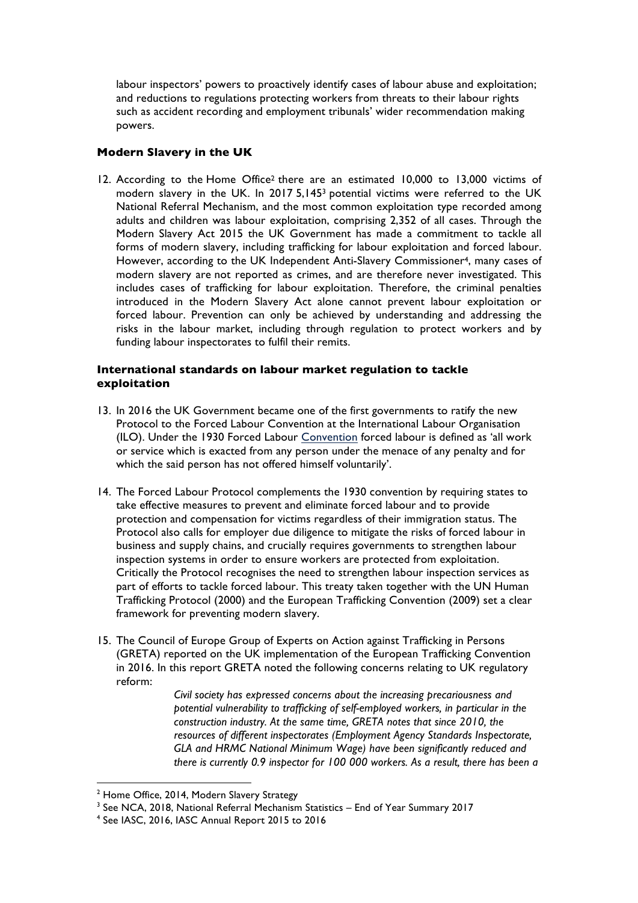labour inspectors' powers to proactively identify cases of labour abuse and exploitation; and reductions to regulations protecting workers from threats to their labour rights such as accident recording and employment tribunals' wider recommendation making powers.

## **Modern Slavery in the UK**

12. According to the Home Office<sup>2</sup> there are an estimated 10,000 to 13,000 victims of modern slavery in the UK. In 2017 5,1453 potential victims were referred to the UK National Referral Mechanism, and the most common exploitation type recorded among adults and children was labour exploitation, comprising 2,352 of all cases. Through the Modern Slavery Act 2015 the UK Government has made a commitment to tackle all forms of modern slavery, including trafficking for labour exploitation and forced labour. However, according to the UK Independent Anti-Slavery Commissioner4, many cases of modern slavery are not reported as crimes, and are therefore never investigated. This includes cases of trafficking for labour exploitation. Therefore, the criminal penalties introduced in the Modern Slavery Act alone cannot prevent labour exploitation or forced labour. Prevention can only be achieved by understanding and addressing the risks in the labour market, including through regulation to protect workers and by funding labour inspectorates to fulfil their remits.

### **International standards on labour market regulation to tackle exploitation**

- 13. In 2016 the UK Government became one of the first governments to ratify the new Protocol to the Forced Labour Convention at the International Labour Organisation (ILO). Under the 1930 Forced Labour Convention forced labour is defined as 'all work or service which is exacted from any person under the menace of any penalty and for which the said person has not offered himself voluntarily'.
- 14. The Forced Labour Protocol complements the 1930 convention by requiring states to take effective measures to prevent and eliminate forced labour and to provide protection and compensation for victims regardless of their immigration status. The Protocol also calls for employer due diligence to mitigate the risks of forced labour in business and supply chains, and crucially requires governments to strengthen labour inspection systems in order to ensure workers are protected from exploitation. Critically the Protocol recognises the need to strengthen labour inspection services as part of efforts to tackle forced labour. This treaty taken together with the UN Human Trafficking Protocol (2000) and the European Trafficking Convention (2009) set a clear framework for preventing modern slavery.
- 15. The Council of Europe Group of Experts on Action against Trafficking in Persons (GRETA) reported on the UK implementation of the European Trafficking Convention in 2016. In this report GRETA noted the following concerns relating to UK regulatory reform:

*Civil society has expressed concerns about the increasing precariousness and potential vulnerability to trafficking of self-employed workers, in particular in the construction industry. At the same time, GRETA notes that since 2010, the resources of different inspectorates (Employment Agency Standards Inspectorate, GLA and HRMC National Minimum Wage) have been significantly reduced and there is currently 0.9 inspector for 100 000 workers. As a result, there has been a* 

<sup>&</sup>lt;sup>2</sup> Home Office, 2014, Modern Slavery Strategy

 $3$  See NCA, 2018, National Referral Mechanism Statistics – End of Year Summary 2017<br> $4$  See IASC, 2016, IASC Annual Report 2015 to 2016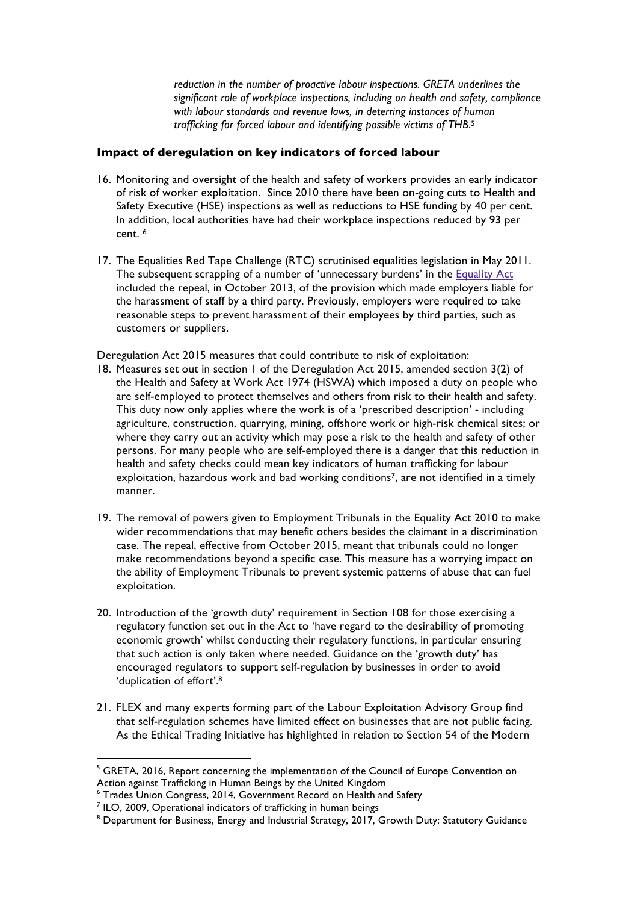*reduction in the number of proactive labour inspections. GRETA underlines the significant role of workplace inspections, including on health and safety, compliance with labour standards and revenue laws, in deterring instances of human trafficking for forced labour and identifying possible victims of THB*. 5

### **Impact of deregulation on key indicators of forced labour**

- 16. Monitoring and oversight of the health and safety of workers provides an early indicator of risk of worker exploitation. Since 2010 there have been on-going cuts to Health and Safety Executive (HSE) inspections as well as reductions to HSE funding by 40 per cent. In addition, local authorities have had their workplace inspections reduced by 93 per cent. 6
- 17. The Equalities Red Tape Challenge (RTC) scrutinised equalities legislation in May 2011. The subsequent scrapping of a number of 'unnecessary burdens' in the **Equality Act** included the repeal, in October 2013, of the provision which made employers liable for the harassment of staff by a third party. Previously, employers were required to take reasonable steps to prevent harassment of their employees by third parties, such as customers or suppliers.

Deregulation Act 2015 measures that could contribute to risk of exploitation:

- 18. Measures set out in section 1 of the Deregulation Act 2015, amended section 3(2) of the Health and Safety at Work Act 1974 (HSWA) which imposed a duty on people who are self-employed to protect themselves and others from risk to their health and safety. This duty now only applies where the work is of a 'prescribed description' - including agriculture, construction, quarrying, mining, offshore work or high-risk chemical sites; or where they carry out an activity which may pose a risk to the health and safety of other persons. For many people who are self-employed there is a danger that this reduction in health and safety checks could mean key indicators of human trafficking for labour exploitation, hazardous work and bad working conditions<sup>7</sup>, are not identified in a timely manner.
- 19. The removal of powers given to Employment Tribunals in the Equality Act 2010 to make wider recommendations that may benefit others besides the claimant in a discrimination case. The repeal, effective from October 2015, meant that tribunals could no longer make recommendations beyond a specific case. This measure has a worrying impact on the ability of Employment Tribunals to prevent systemic patterns of abuse that can fuel exploitation.
- 20. Introduction of the 'growth duty' requirement in Section 108 for those exercising a regulatory function set out in the Act to 'have regard to the desirability of promoting economic growth' whilst conducting their regulatory functions, in particular ensuring that such action is only taken where needed. Guidance on the 'growth duty' has encouraged regulators to support self-regulation by businesses in order to avoid 'duplication of effort'.8
- 21. FLEX and many experts forming part of the Labour Exploitation Advisory Group find that self-regulation schemes have limited effect on businesses that are not public facing. As the Ethical Trading Initiative has highlighted in relation to Section 54 of the Modern

 $<sup>5</sup>$  GRETA, 2016. Report concerning the implementation of the Council of Europe Convention on</sup> Action against Trafficking in Human Beings by the United Kingdom

<sup>6</sup> Trades Union Congress, 2014, Government Record on Health and Safety

<sup>7</sup> ILO, 2009, Operational indicators of trafficking in human beings

<sup>&</sup>lt;sup>8</sup> Department for Business, Energy and Industrial Strategy, 2017, Growth Duty: Statutory Guidance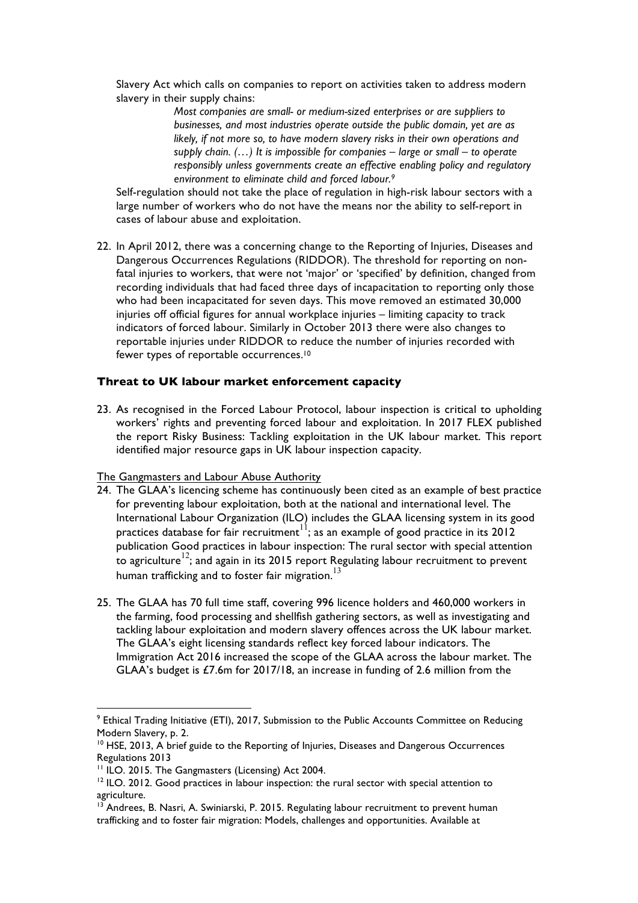Slavery Act which calls on companies to report on activities taken to address modern slavery in their supply chains:

> *Most companies are small- or medium-sized enterprises or are suppliers to businesses, and most industries operate outside the public domain, yet are as likely, if not more so, to have modern slavery risks in their own operations and supply chain. (…) It is impossible for companies – large or small – to operate responsibly unless governments create an effective enabling policy and regulatory environment to eliminate child and forced labour. 9*

Self-regulation should not take the place of regulation in high-risk labour sectors with a large number of workers who do not have the means nor the ability to self-report in cases of labour abuse and exploitation.

22. In April 2012, there was a concerning change to the Reporting of Injuries, Diseases and Dangerous Occurrences Regulations (RIDDOR). The threshold for reporting on nonfatal injuries to workers, that were not 'major' or 'specified' by definition, changed from recording individuals that had faced three days of incapacitation to reporting only those who had been incapacitated for seven days. This move removed an estimated 30,000 injuries off official figures for annual workplace injuries – limiting capacity to track indicators of forced labour. Similarly in October 2013 there were also changes to reportable injuries under RIDDOR to reduce the number of injuries recorded with fewer types of reportable occurrences. 10

#### **Threat to UK labour market enforcement capacity**

23. As recognised in the Forced Labour Protocol, labour inspection is critical to upholding workers' rights and preventing forced labour and exploitation. In 2017 FLEX published the report Risky Business: Tackling exploitation in the UK labour market. This report identified major resource gaps in UK labour inspection capacity.

#### The Gangmasters and Labour Abuse Authority

- 24. The GLAA's licencing scheme has continuously been cited as an example of best practice for preventing labour exploitation, both at the national and international level. The International Labour Organization (ILO) includes the GLAA licensing system in its good practices database for fair recruitment<sup>11</sup>; as an example of good practice in its 2012 publication Good practices in labour inspection: The rural sector with special attention to agriculture<sup>12</sup>; and again in its 2015 report Regulating labour recruitment to prevent human trafficking and to foster fair migration.<sup>13</sup>
- 25. The GLAA has 70 full time staff, covering 996 licence holders and 460,000 workers in the farming, food processing and shellfish gathering sectors, as well as investigating and tackling labour exploitation and modern slavery offences across the UK labour market. The GLAA's eight licensing standards reflect key forced labour indicators. The Immigration Act 2016 increased the scope of the GLAA across the labour market. The GLAA's budget is £7.6m for 2017/18, an increase in funding of 2.6 million from the

<sup>&</sup>lt;sup>9</sup> Ethical Trading Initiative (ETI), 2017, Submission to the Public Accounts Committee on Reducing Modern Slavery, p. 2.

<sup>&</sup>lt;sup>10</sup> HSE, 2013, A brief guide to the Reporting of Injuries, Diseases and Dangerous Occurrences Regulations 2013<br><sup>11</sup> ILO. 2015. The Gangmasters (Licensing) Act 2004.

 $12$  ILO. 2012. Good practices in labour inspection: the rural sector with special attention to agriculture.

<sup>&</sup>lt;sup>13</sup> Andrees, B. Nasri, A. Swiniarski, P. 2015. Regulating labour recruitment to prevent human trafficking and to foster fair migration: Models, challenges and opportunities. Available at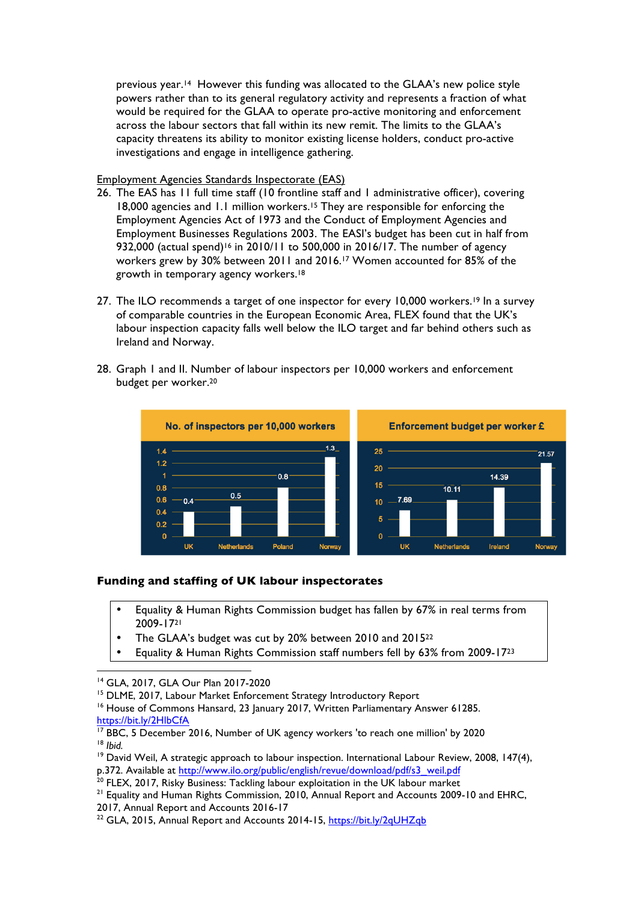previous year.14 However this funding was allocated to the GLAA's new police style powers rather than to its general regulatory activity and represents a fraction of what would be required for the GLAA to operate pro-active monitoring and enforcement across the labour sectors that fall within its new remit. The limits to the GLAA's capacity threatens its ability to monitor existing license holders, conduct pro-active investigations and engage in intelligence gathering.

Employment Agencies Standards Inspectorate (EAS)

- 26. The EAS has 11 full time staff (10 frontline staff and 1 administrative officer), covering 18,000 agencies and 1.1 million workers.15 They are responsible for enforcing the Employment Agencies Act of 1973 and the Conduct of Employment Agencies and Employment Businesses Regulations 2003. The EASI's budget has been cut in half from 932,000 (actual spend)<sup>16</sup> in 2010/11 to 500,000 in 2016/17. The number of agency workers grew by 30% between 2011 and 2016.17 Women accounted for 85% of the growth in temporary agency workers.18
- 27. The ILO recommends a target of one inspector for every 10,000 workers.<sup>19</sup> In a survey of comparable countries in the European Economic Area, FLEX found that the UK's labour inspection capacity falls well below the ILO target and far behind others such as Ireland and Norway.
- 28. Graph 1 and II. Number of labour inspectors per 10,000 workers and enforcement budget per worker.20



# **Funding and staffing of UK labour inspectorates**

- Equality & Human Rights Commission budget has fallen by 67% in real terms from 2009-1721
- The GLAA's budget was cut by 20% between 2010 and 201522
- Equality & Human Rights Commission staff numbers fell by 63% from 2009-1723

<sup>&</sup>lt;sup>14</sup> GLA, 2017, GLA Our Plan 2017-2020<br><sup>15</sup> DLME, 2017, Labour Market Enforcement Strategy Introductory Report

<sup>&</sup>lt;sup>16</sup> House of Commons Hansard, 23 January 2017, Written Parliamentary Answer 61285. https://bit.ly/2HlbCfA

<sup>&</sup>lt;sup>17</sup> BBC, 5 December 2016, Number of UK agency workers 'to reach one million' by 2020<br><sup>18</sup> *Ibid.* 

<sup>&</sup>lt;sup>19</sup> David Weil, A strategic approach to labour inspection. International Labour Review, 2008, 147(4), p.372. Available at http://www.ilo.org/public/english/revue/download/pdf/s3\_weil.pdf

<sup>&</sup>lt;sup>20</sup> FLEX, 2017, Risky Business: Tackling labour exploitation in the UK labour market<br><sup>21</sup> Equality and Human Rights Commission, 2010, Annual Report and Accounts 2009-10 and EHRC, 2017, Annual Report and Accounts 2016-17<br><sup>22</sup> GLA, 2015, Annual Report and Accounts 2014-15, https://bit.ly/2qUHZqb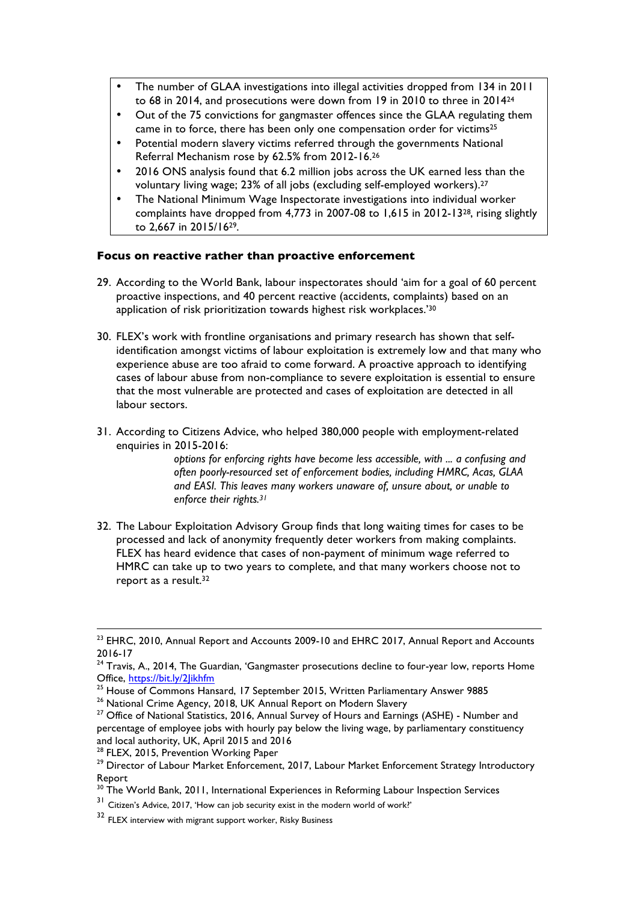- The number of GLAA investigations into illegal activities dropped from 134 in 2011 to 68 in 2014, and prosecutions were down from 19 in 2010 to three in 201424
- Out of the 75 convictions for gangmaster offences since the GLAA regulating them came in to force, there has been only one compensation order for victims25
- Potential modern slavery victims referred through the governments National Referral Mechanism rose by 62.5% from 2012-16.26
- 2016 ONS analysis found that 6.2 million jobs across the UK earned less than the voluntary living wage; 23% of all jobs (excluding self-employed workers).27
- The National Minimum Wage Inspectorate investigations into individual worker complaints have dropped from 4,773 in 2007-08 to 1,615 in 2012-1328, rising slightly to 2,667 in 2015/1629.

## **Focus on reactive rather than proactive enforcement**

- 29. According to the World Bank, labour inspectorates should 'aim for a goal of 60 percent proactive inspections, and 40 percent reactive (accidents, complaints) based on an application of risk prioritization towards highest risk workplaces.'30
- 30. FLEX's work with frontline organisations and primary research has shown that selfidentification amongst victims of labour exploitation is extremely low and that many who experience abuse are too afraid to come forward. A proactive approach to identifying cases of labour abuse from non-compliance to severe exploitation is essential to ensure that the most vulnerable are protected and cases of exploitation are detected in all labour sectors.
- 31. According to Citizens Advice, who helped 380,000 people with employment-related enquiries in 2015-2016:

*options for enforcing rights have become less accessible, with ... a confusing and often poorly-resourced set of enforcement bodies, including HMRC, Acas, GLAA and EASI. This leaves many workers unaware of, unsure about, or unable to enforce their rights.31*

32. The Labour Exploitation Advisory Group finds that long waiting times for cases to be processed and lack of anonymity frequently deter workers from making complaints. FLEX has heard evidence that cases of non-payment of minimum wage referred to HMRC can take up to two years to complete, and that many workers choose not to report as a result.<sup>32</sup>

<sup>&</sup>lt;sup>23</sup> EHRC, 2010, Annual Report and Accounts 2009-10 and EHRC 2017, Annual Report and Accounts 2016-17

 $24$  Travis, A., 2014, The Guardian, 'Gangmaster prosecutions decline to four-year low, reports Home Office, https://bit.ly/2Jikhfm<br><sup>25</sup> House of Commons Hansard, 17 September 2015. Written Parliamentary Answer 9885

 $^{26}$  National Crime Agency, 2018, UK Annual Report on Modern Slavery<br><sup>27</sup> Office of National Statistics, 2016, Annual Survey of Hours and Earnings (ASHE) - Number and percentage of employee jobs with hourly pay below the living wage, by parliamentary constituency and local authority, UK, April 2015 and 2016<br><sup>28</sup> FLEX, 2015, Prevention Working Paper

<sup>&</sup>lt;sup>29</sup> Director of Labour Market Enforcement, 2017, Labour Market Enforcement Strategy Introductory Report

<sup>&</sup>lt;sup>30</sup> The World Bank, 2011, International Experiences in Reforming Labour Inspection Services

<sup>31</sup> Citizen's Advice, 2017, 'How can job security exist in the modern world of work?'

<sup>32</sup> FLEX interview with migrant support worker, Risky Business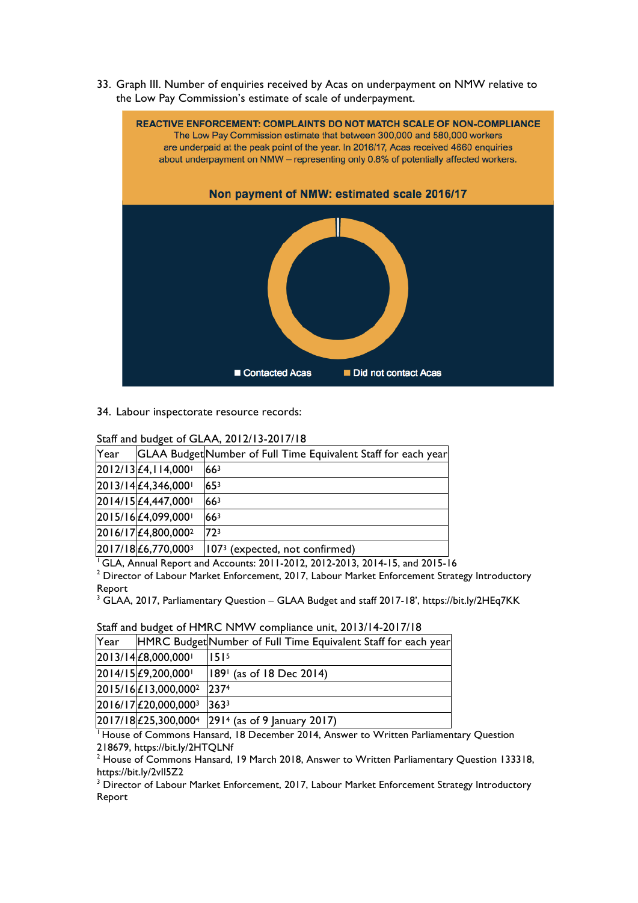33. Graph III. Number of enquiries received by Acas on underpayment on NMW relative to the Low Pay Commission's estimate of scale of underpayment.



#### 34. Labour inspectorate resource records:

| Staff and budget of GLAA, 2012/13-2017/18 |      |                                 |                                                                |  |  |
|-------------------------------------------|------|---------------------------------|----------------------------------------------------------------|--|--|
|                                           | Year |                                 | GLAA Budget Number of Full Time Equivalent Staff for each year |  |  |
|                                           |      | 2012/13 £4, 114,000             | 66 <sup>3</sup>                                                |  |  |
|                                           |      | $2013/14 \mathcal{L}4,346,000$  | $65^{3}$                                                       |  |  |
|                                           |      | 2014/15 £4,447,000              | 66 <sup>3</sup>                                                |  |  |
|                                           |      | 2015/16 £4,099,000              | 66 <sup>3</sup>                                                |  |  |
|                                           |      | 2016/17 £4,800,000 <sup>2</sup> | 723                                                            |  |  |
|                                           |      | 2017/18 £6,770,0003             | 107 <sup>3</sup> (expected, not confirmed)                     |  |  |
|                                           |      |                                 |                                                                |  |  |

<sup>1</sup> GLA, Annual Report and Accounts: 2011-2012, 2012-2013, 2014-15, and 2015-16

<sup>2</sup> Director of Labour Market Enforcement, 2017, Labour Market Enforcement Strategy Introductory Report

<sup>3</sup> GLAA, 2017, Parliamentary Question – GLAA Budget and staff 2017-18', https://bit.ly/2HEq7KK

| Year |                                             | HMRC Budget Number of Full Time Equivalent Staff for each year      |
|------|---------------------------------------------|---------------------------------------------------------------------|
|      | $ 2013/14  \n\text{\pounds}8,000,000 $      | 1515                                                                |
|      | $[2014/15] \pounds 9, 200, 000$             | $ 189 $ (as of 18 Dec 2014)                                         |
|      | $2015/16 \n\mathsf{£} 13,000,000^2$         | 2374                                                                |
|      | $[2016/17] \text{\textsterling}20,000,0003$ | 3633                                                                |
|      |                                             | $ 2017/18 $ £25,300,000 <sup>4</sup> $ 2914$ (as of 9 January 2017) |

#### Staff and budget of HMRC NMW compliance unit, 2013/14-2017/18

 $1$  House of Commons Hansard, 18 December 2014, Answer to Written Parliamentary Question 218679, https://bit.ly/2HTQLNf<br><sup>2</sup> House of Commons Hansard, 19 March 2018, Answer to Written Parliamentary Question 133318,

https://bit.ly/2vIl5Z2

<sup>3</sup> Director of Labour Market Enforcement, 2017, Labour Market Enforcement Strategy Introductory Report